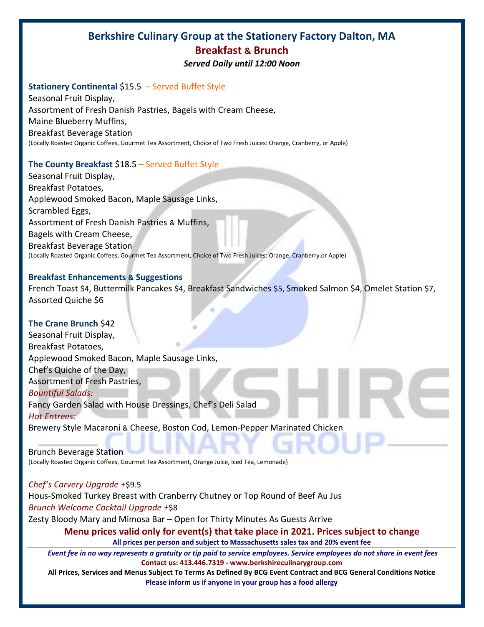# **Berkshire Culinary Group at the Stationery Factory Dalton, MA Breakfast & Brunch**

*Served Daily until 12:00 Noon*

#### **Stationery Continental \$15.5 – Served Buffet Style**

Seasonal Fruit Display, Assortment of Fresh Danish Pastries, Bagels with Cream Cheese, Maine Blueberry Muffins, Breakfast Beverage Station (Locally Roasted Organic Coffees, Gourmet Tea Assortment, Choice of Two Fresh Juices: Orange, Cranberry, or Apple)

### **The County Breakfast** \$18.5 – Served Buffet Style

Seasonal Fruit Display, Breakfast Potatoes, Applewood Smoked Bacon, Maple Sausage Links, Scrambled Eggs, Assortment of Fresh Danish Pastries & Muffins, Bagels with Cream Cheese, Breakfast Beverage Station (Locally Roasted Organic Coffees, Gourmet Tea Assortment, Choice of Two Fresh Juices: Orange, Cranberry,or Apple)

#### **Breakfast Enhancements & Suggestions**

French Toast \$4, Buttermilk Pancakes \$4, Breakfast Sandwiches \$5, Smoked Salmon \$4, Omelet Station \$7, Assorted Quiche \$6

### **The Crane Brunch** \$42

Seasonal Fruit Display, Breakfast Potatoes, Applewood Smoked Bacon, Maple Sausage Links, Chef's Quiche of the Day, Assortment of Fresh Pastries, *Bountiful Salads:* Fancy Garden Salad with House Dressings, Chef's Deli Salad *Hot Entrees:* Brewery Style Macaroni & Cheese, Boston Cod, Lemon-Pepper Marinated Chicken

Brunch Beverage Station (Locally Roasted Organic Coffees, Gourmet Tea Assortment, Orange Juice, Iced Tea, Lemonade)

#### *Chef's Carvery Upgrade +*\$9.5

Hous-Smoked Turkey Breast with Cranberry Chutney or Top Round of Beef Au Jus *Brunch Welcome Cocktail Upgrade +*\$8

Zesty Bloody Mary and Mimosa Bar – Open for Thirty Minutes As Guests Arrive

#### **Menu prices valid only for event(s) that take place in 2021. Prices subject to change**

**All prices per person and subject to Massachusetts sales tax and 20% event fee**

*Event fee in no way represents a gratuity or tip paid to service employees. Service employees do not share in event fees* **Contact us: 413.446.7319 - www.berkshireculinarygroup.com**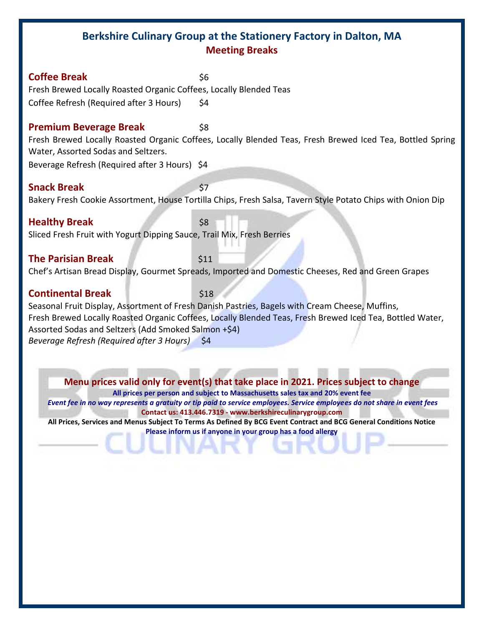# **Berkshire Culinary Group at the Stationery Factory in Dalton, MA Meeting Breaks**

**Coffee Break** \$6 Fresh Brewed Locally Roasted Organic Coffees, Locally Blended Teas Coffee Refresh (Required after 3 Hours) \$4

#### **Premium Beverage Break** 58

Fresh Brewed Locally Roasted Organic Coffees, Locally Blended Teas, Fresh Brewed Iced Tea, Bottled Spring Water, Assorted Sodas and Seltzers.

Beverage Refresh (Required after 3 Hours) \$4

#### **Snack Break** \$7

Bakery Fresh Cookie Assortment, House Tortilla Chips, Fresh Salsa, Tavern Style Potato Chips with Onion Dip

**Healthy Break** \$8 Sliced Fresh Fruit with Yogurt Dipping Sauce, Trail Mix, Fresh Berries

#### **The Parisian Break** \$11

Chef's Artisan Bread Display, Gourmet Spreads, Imported and Domestic Cheeses, Red and Green Grapes

## **Continental Break** \$18

Seasonal Fruit Display, Assortment of Fresh Danish Pastries, Bagels with Cream Cheese, Muffins, Fresh Brewed Locally Roasted Organic Coffees, Locally Blended Teas, Fresh Brewed Iced Tea, Bottled Water, Assorted Sodas and Seltzers (Add Smoked Salmon +\$4) *Beverage Refresh (Required after 3 Hours)* \$4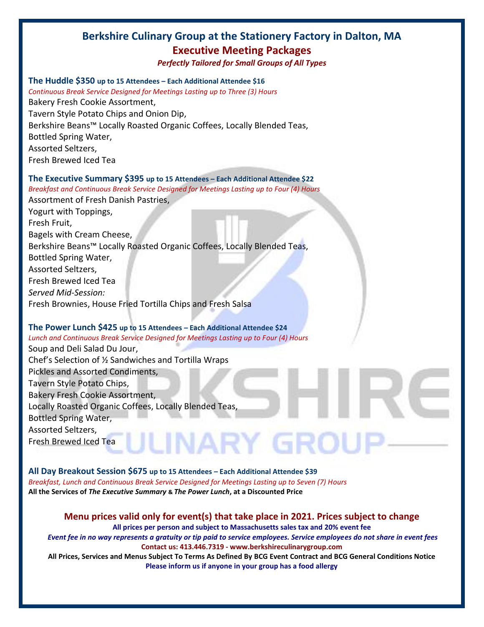# **Berkshire Culinary Group at the Stationery Factory in Dalton, MA Executive Meeting Packages**

*Perfectly Tailored for Small Groups of All Types*

#### **The Huddle \$350 up to 15 Attendees – Each Additional Attendee \$16**

*Continuous Break Service Designed for Meetings Lasting up to Three (3) Hours* Bakery Fresh Cookie Assortment, Tavern Style Potato Chips and Onion Dip, Berkshire Beans™ Locally Roasted Organic Coffees, Locally Blended Teas, Bottled Spring Water, Assorted Seltzers, Fresh Brewed Iced Tea

#### **The Executive Summary \$395 up to 15 Attendees – Each Additional Attendee \$22**

*Breakfast and Continuous Break Service Designed for Meetings Lasting up to Four (4) Hours* Assortment of Fresh Danish Pastries, Yogurt with Toppings, Fresh Fruit, Bagels with Cream Cheese, Berkshire Beans™ Locally Roasted Organic Coffees, Locally Blended Teas, Bottled Spring Water, Assorted Seltzers, Fresh Brewed Iced Tea *Served Mid-Session:*  Fresh Brownies, House Fried Tortilla Chips and Fresh Salsa

#### **The Power Lunch \$425 up to 15 Attendees – Each Additional Attendee \$24**

*Lunch and Continuous Break Service Designed for Meetings Lasting up to Four (4) Hours* Soup and Deli Salad Du Jour, Chef's Selection of ½ Sandwiches and Tortilla Wraps Pickles and Assorted Condiments, Tavern Style Potato Chips, Bakery Fresh Cookie Assortment, Locally Roasted Organic Coffees, Locally Blended Teas, Bottled Spring Water, Assorted Seltzers, LINARY GROL Fresh Brewed Iced Tea

**All Day Breakout Session \$675 up to 15 Attendees – Each Additional Attendee \$39** *Breakfast, Lunch and Continuous Break Service Designed for Meetings Lasting up to Seven (7) Hours* **All the Services of** *The Executive Summary* **&** *The Power Lunch***, at a Discounted Price**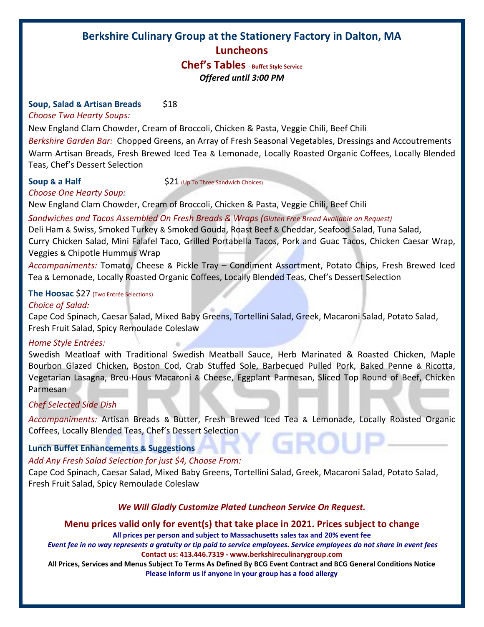# **Berkshire Culinary Group at the Stationery Factory in Dalton, MA Luncheons**

# **Chef's Tables - Buffet Style Service** *Offered until 3:00 PM*

#### **Soup, Salad & Artisan Breads** \$18

*Choose Two Hearty Soups:*

New England Clam Chowder, Cream of Broccoli, Chicken & Pasta, Veggie Chili, Beef Chili

*Berkshire Garden Bar:* Chopped Greens, an Array of Fresh Seasonal Vegetables, Dressings and Accoutrements Warm Artisan Breads, Fresh Brewed Iced Tea & Lemonade, Locally Roasted Organic Coffees, Locally Blended Teas, Chef's Dessert Selection

*Choose One Hearty Soup:*

**Soup & a Half**  $\begin{array}{c} \text{521} \\ \text{521} \end{array}$  (Up To Three Sandwich Choices)

New England Clam Chowder, Cream of Broccoli, Chicken & Pasta, Veggie Chili, Beef Chili

*Sandwiches and Tacos Assembled On Fresh Breads & Wraps (Gluten Free Bread Available on Request)*

Deli Ham & Swiss, Smoked Turkey & Smoked Gouda, Roast Beef & Cheddar, Seafood Salad, Tuna Salad,

Curry Chicken Salad, Mini Falafel Taco, Grilled Portabella Tacos, Pork and Guac Tacos, Chicken Caesar Wrap, Veggies & Chipotle Hummus Wrap

*Accompaniments:* Tomato, Cheese & Pickle Tray – Condiment Assortment, Potato Chips, Fresh Brewed Iced Tea & Lemonade, Locally Roasted Organic Coffees, Locally Blended Teas, Chef's Dessert Selection

### **The Hoosac** \$27 (Two Entrée Selections)

#### *Choice of Salad:*

Cape Cod Spinach, Caesar Salad, Mixed Baby Greens, Tortellini Salad, Greek, Macaroni Salad, Potato Salad, Fresh Fruit Salad, Spicy Remoulade Coleslaw

#### *Home Style Entrées:*

Swedish Meatloaf with Traditional Swedish Meatball Sauce, Herb Marinated & Roasted Chicken, Maple Bourbon Glazed Chicken, Boston Cod, Crab Stuffed Sole, Barbecued Pulled Pork, Baked Penne & Ricotta, Vegetarian Lasagna, Breu-Hous Macaroni & Cheese, Eggplant Parmesan, Sliced Top Round of Beef, Chicken Parmesan

#### *Chef Selected Side Dish*

*Accompaniments:* Artisan Breads & Butter, Fresh Brewed Iced Tea & Lemonade, Locally Roasted Organic Coffees, Locally Blended Teas, Chef's Dessert Selection

### **Lunch Buffet Enhancements & Suggestions**

#### *Add Any Fresh Salad Selection for just \$4, Choose From:*

Cape Cod Spinach, Caesar Salad, Mixed Baby Greens, Tortellini Salad, Greek, Macaroni Salad, Potato Salad, Fresh Fruit Salad, Spicy Remoulade Coleslaw

#### *We Will Gladly Customize Plated Luncheon Service On Request.*

### **Menu prices valid only for event(s) that take place in 2021. Prices subject to change**

**All prices per person and subject to Massachusetts sales tax and 20% event fee**

*Event fee in no way represents a gratuity or tip paid to service employees. Service employees do not share in event fees* **Contact us: 413.446.7319 - www.berkshireculinarygroup.com**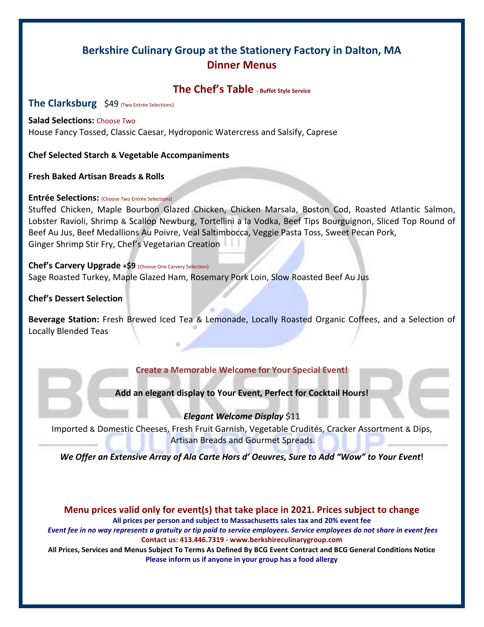# **Berkshire Culinary Group at the Stationery Factory in Dalton, MA Dinner Menus**

# **The Chef's Table - Buffet Style Service**

#### **The Clarksburg** \$49 (Two Entrée Selections)

#### **Salad Selections:** Choose Two

House Fancy Tossed, Classic Caesar, Hydroponic Watercress and Salsify, Caprese

**Chef Selected Starch & Vegetable Accompaniments**

**Fresh Baked Artisan Breads & Rolls**

#### **Entrée Selections:** (Choose Two Entrée Selections)

Stuffed Chicken, Maple Bourbon Glazed Chicken, Chicken Marsala, Boston Cod, Roasted Atlantic Salmon, Lobster Ravioli, Shrimp & Scallop Newburg, Tortellini a la Vodka, Beef Tips Bourguignon, Sliced Top Round of Beef Au Jus, Beef Medallions Au Poivre, Veal Saltimbocca, Veggie Pasta Toss, Sweet Pecan Pork, Ginger Shrimp Stir Fry, Chef's Vegetarian Creation

#### **Chef's Carvery Upgrade +\$9** (Choose One Carvery Selection)

Sage Roasted Turkey, Maple Glazed Ham, Rosemary Pork Loin, Slow Roasted Beef Au Jus

**Chef's Dessert Selection**

**Beverage Station:** Fresh Brewed Iced Tea & Lemonade, Locally Roasted Organic Coffees, and a Selection of Locally Blended Teas

#### **Create a Memorable Welcome for Your Special Event!**

#### **Add an elegant display to Your Event, Perfect for Cocktail Hours!**

#### *Elegant Welcome Display* \$11

Imported & Domestic Cheeses, Fresh Fruit Garnish, Vegetable Crudités, Cracker Assortment & Dips, Artisan Breads and Gourmet Spreads.

*We Offer an Extensive Array of Ala Carte Hors d' Oeuvres, Sure to Add "Wow" to Your Event!*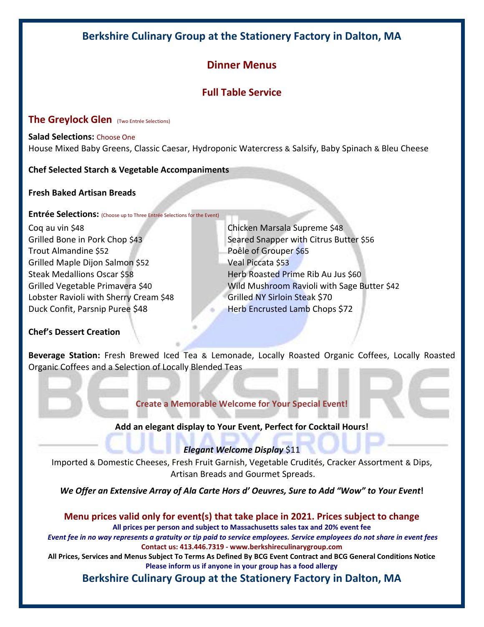# **Berkshire Culinary Group at the Stationery Factory in Dalton, MA**

# **Dinner Menus**

# **Full Table Service**

### **The Greylock Glen** (Two Entrée Selections)

**Salad Selections:** Choose One House Mixed Baby Greens, Classic Caesar, Hydroponic Watercress & Salsify, Baby Spinach & Bleu Cheese

### **Chef Selected Starch & Vegetable Accompaniments**

**Fresh Baked Artisan Breads**

**Entrée Selections:** (Choose up to Three Entrée Selections for the Event)

Coq au vin \$48 Chicken Marsala Supreme \$48 Trout Almandine \$52 Poêle of Grouper \$65 Grilled Maple Dijon Salmon \$52 Veal Piccata \$53 Steak Medallions Oscar \$58 Herb Roasted Prime Rib Au Jus \$60 Lobster Ravioli with Sherry Cream \$48 Grilled NY Sirloin Steak \$70 Duck Confit, Parsnip Puree \$48 Herb Encrusted Lamb Chops \$72

Grilled Bone in Pork Chop \$43 Seared Snapper with Citrus Butter \$56 Grilled Vegetable Primavera \$40 Wild Mushroom Ravioli with Sage Butter \$42

### **Chef's Dessert Creation**

**Beverage Station:** Fresh Brewed Iced Tea & Lemonade, Locally Roasted Organic Coffees, Locally Roasted Organic Coffees and a Selection of Locally Blended Teas

**Create a Memorable Welcome for Your Special Event!**

### **Add an elegant display to Your Event, Perfect for Cocktail Hours!**

### *Elegant Welcome Display* \$11

Imported & Domestic Cheeses, Fresh Fruit Garnish, Vegetable Crudités, Cracker Assortment & Dips, Artisan Breads and Gourmet Spreads.

*We Offer an Extensive Array of Ala Carte Hors d' Oeuvres, Sure to Add "Wow" to Your Event!* 

**Menu prices valid only for event(s) that take place in 2021. Prices subject to change All prices per person and subject to Massachusetts sales tax and 20% event fee** *Event fee in no way represents a gratuity or tip paid to service employees. Service employees do not share in event fees* **Contact us: 413.446.7319 - www.berkshireculinarygroup.com All Prices, Services and Menus Subject To Terms As Defined By BCG Event Contract and BCG General Conditions Notice Please inform us if anyone in your group has a food allergy**

**Berkshire Culinary Group at the Stationery Factory in Dalton, MA**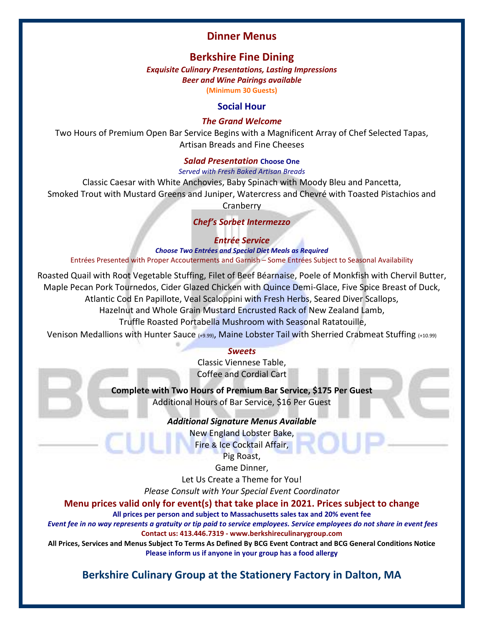# **Dinner Menus**

# **Berkshire Fine Dining**

*Exquisite Culinary Presentations, Lasting Impressions Beer and Wine Pairings available* **(Minimum 30 Guests)**

#### **Social Hour**

#### *The Grand Welcome*

Two Hours of Premium Open Bar Service Begins with a Magnificent Array of Chef Selected Tapas, Artisan Breads and Fine Cheeses

#### *Salad Presentation* **Choose One**

*Served with Fresh Baked Artisan Breads*

Classic Caesar with White Anchovies, Baby Spinach with Moody Bleu and Pancetta,

Smoked Trout with Mustard Greens and Juniper, Watercress and Chevré with Toasted Pistachios and **Cranberry** 

*Chef's Sorbet Intermezzo* 

*Entrée Service*

*Choose Two Entrées and Special Diet Meals as Required* Entrées Presented with Proper Accouterments and Garnish – Some Entrées Subject to Seasonal Availability

Roasted Quail with Root Vegetable Stuffing, Filet of Beef Béarnaise, Poele of Monkfish with Chervil Butter, Maple Pecan Pork Tournedos, Cider Glazed Chicken with Quince Demi-Glace, Five Spice Breast of Duck, Atlantic Cod En Papillote, Veal Scaloppini with Fresh Herbs, Seared Diver Scallops,

Hazelnut and Whole Grain Mustard Encrusted Rack of New Zealand Lamb,

Truffle Roasted Portabella Mushroom with Seasonal Ratatouille,

Venison Medallions with Hunter Sauce (+9.99), Maine Lobster Tail with Sherried Crabmeat Stuffing (+10.99)

#### *Sweets*

Classic Viennese Table, Coffee and Cordial Cart

**Complete with Two Hours of Premium Bar Service, \$175 Per Guest**

Additional Hours of Bar Service, \$16 Per Guest

*Additional Signature Menus Available*

New England Lobster Bake,

Fire & Ice Cocktail Affair,

Pig Roast,

Game Dinner,

Let Us Create a Theme for You!

*Please Consult with Your Special Event Coordinator* 

#### **Menu prices valid only for event(s) that take place in 2021. Prices subject to change**

**All prices per person and subject to Massachusetts sales tax and 20% event fee**

*Event fee in no way represents a gratuity or tip paid to service employees. Service employees do not share in event fees* **Contact us: 413.446.7319 - www.berkshireculinarygroup.com** 

**All Prices, Services and Menus Subject To Terms As Defined By BCG Event Contract and BCG General Conditions Notice Please inform us if anyone in your group has a food allergy**

# **Berkshire Culinary Group at the Stationery Factory in Dalton, MA**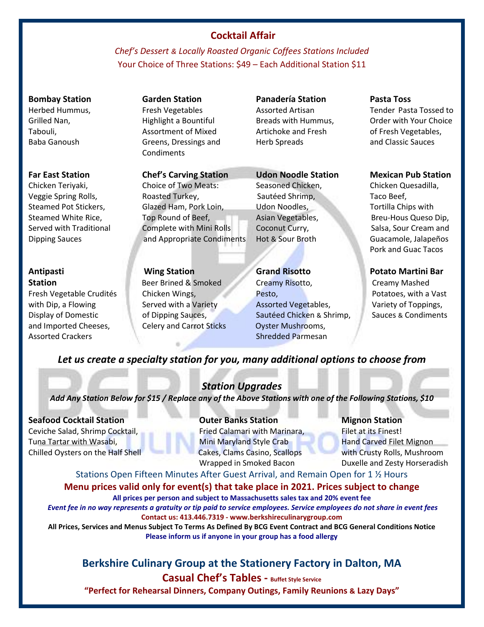# **Cocktail Affair**

*Chef's Dessert & Locally Roasted Organic Coffees Stations Included*  Your Choice of Three Stations: \$49 – Each Additional Station \$11

# **Bombay Station Garden Station Panadería Station Pasta Toss**  Condiments

Chicken Teriyaki, Choice of Two Meats: Seasoned Chicken, Chicken Quesadilla, Veggie Spring Rolls, **Roasted Turkey,** Sautéed Shrimp, Saute Shrimp, Sautéed Shrimp, Taco Beef, Steamed Pot Stickers, Glazed Ham, Pork Loin, Udon Noodles, The Tortilla Chips with Steamed White Rice, Top Round of Beef, The Asian Vegetables, Breu-Hous Queso Dip, Served with Traditional Complete with Mini Rolls Coconut Curry, Salsa, Sour Cream and Dipping Sauces and Appropriate Condiments Hot & Sour Broth Guacamole, Jalapeños

and Imported Cheeses, Celery and Carrot Sticks Oyster Mushrooms,

Tabouli, Assortment of Mixed Artichoke and Fresh of Fresh Vegetables, Baba Ganoush Greens, Dressings and Herb Spreads and Classic Sauces

**Antipasti Wing Station Grand Risotto Potato Martini Bar Station Beer Brined & Smoked Creamy Risotto, Creamy Mashed Creamy Mashed** Fresh Vegetable Crudités Chicken Wings, Pesto, Potatoes, with a Vast with Dip, a Flowing Served with a Variety Assorted Vegetables, Samillary of Toppings, Display of Domestic of Dipping Sauces, Sautéed Chicken & Shrimp, Sauces & Condiments Assorted Crackers **Shredded Parmesan** 

Herbed Hummus, 
Therbed Hummus, 
Tender Pasta Tossed to Assorted Artisan

Tender Pasta Tossed to Grilled Nan, The Highlight a Bountiful Breads with Hummus, All Order with Your Choice

#### **Far East Station Chef's Carving Station Udon Noodle Station Mexican Pub Station**

Pork and Guac Tacos

# *Let us create a specialty station for you, many additional options to choose from*

# *Station Upgrades*

*Add Any Station Below for \$15 / Replace any of the Above Stations with one of the Following Stations, \$10*

**Seafood Cocktail Station Outer Banks Station Mignon Station** Ceviche Salad, Shrimp Cocktail, Fried Calamari with Marinara, Filet at its Finest! Tuna Tartar with Wasabi, **Mini Maryland Style Crab** Hand Carved Filet Mignon Chilled Oysters on the Half Shell Cakes, Clams Casino, Scallops with Crusty Rolls, Mushroom

Wrapped in Smoked Bacon Duxelle and Zesty Horseradish

# Stations Open Fifteen Minutes After Guest Arrival, and Remain Open for 1 ½ Hours

# **Menu prices valid only for event(s) that take place in 2021. Prices subject to change**

**All prices per person and subject to Massachusetts sales tax and 20% event fee**

*Event fee in no way represents a gratuity or tip paid to service employees. Service employees do not share in event fees* **Contact us: 413.446.7319 - www.berkshireculinarygroup.com** 

**All Prices, Services and Menus Subject To Terms As Defined By BCG Event Contract and BCG General Conditions Notice Please inform us if anyone in your group has a food allergy**

# **Berkshire Culinary Group at the Stationery Factory in Dalton, MA**

**Casual Chef's Tables - Buffet Style Service "Perfect for Rehearsal Dinners, Company Outings, Family Reunions & Lazy Days"**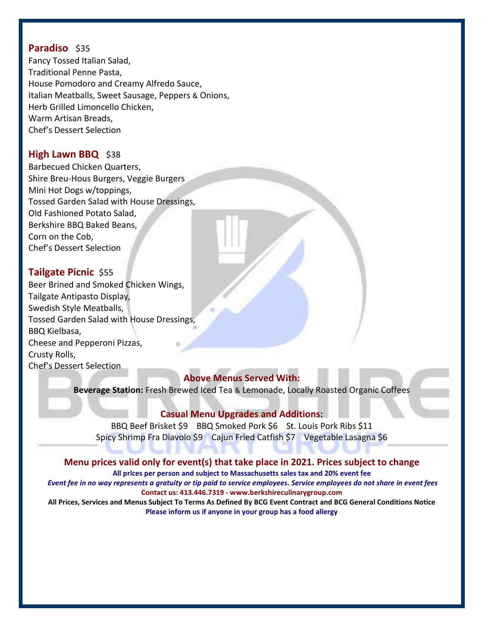## **Paradiso** \$35

Fancy Tossed Italian Salad, Traditional Penne Pasta, House Pomodoro and Creamy Alfredo Sauce, Italian Meatballs, Sweet Sausage, Peppers & Onions, Herb Grilled Limoncello Chicken, Warm Artisan Breads, Chef's Dessert Selection

# **High Lawn BBQ** \$38

Barbecued Chicken Quarters, Shire Breu-Hous Burgers, Veggie Burgers Mini Hot Dogs w/toppings, Tossed Garden Salad with House Dressings, Old Fashioned Potato Salad, Berkshire BBQ Baked Beans, Corn on the Cob, Chef's Dessert Selection

# **Tailgate Picnic** \$55

Beer Brined and Smoked Chicken Wings, Tailgate Antipasto Display, Swedish Style Meatballs, Tossed Garden Salad with House Dressings, BBQ Kielbasa, Cheese and Pepperoni Pizzas, Crusty Rolls, Chef's Dessert Selection

# **Above Menus Served With:**

**Beverage Station:** Fresh Brewed Iced Tea & Lemonade, Locally Roasted Organic Coffees

# **Casual Menu Upgrades and Additions:**

BBQ Beef Brisket \$9 BBQ Smoked Pork \$6 St. Louis Pork Ribs \$11 Spicy Shrimp Fra Diavolo \$9 Cajun Fried Catfish \$7 Vegetable Lasagna \$6

### **Menu prices valid only for event(s) that take place in 2021. Prices subject to change**

**All prices per person and subject to Massachusetts sales tax and 20% event fee** *Event fee in no way represents a gratuity or tip paid to service employees. Service employees do not share in event fees* **Contact us: 413.446.7319 - www.berkshireculinarygroup.com All Prices, Services and Menus Subject To Terms As Defined By BCG Event Contract and BCG General Conditions Notice**

**Please inform us if anyone in your group has a food allergy**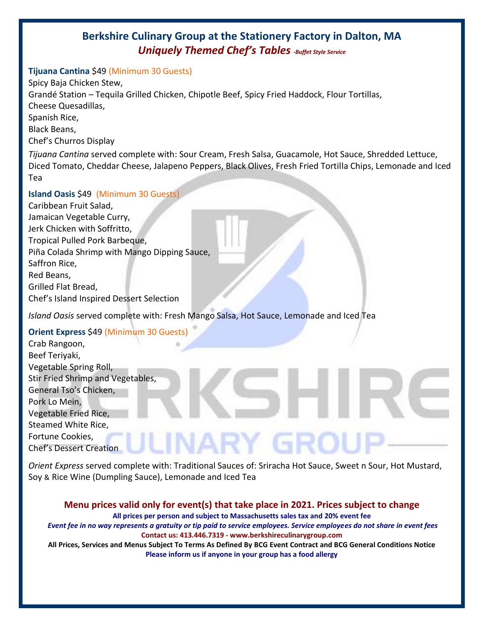# **Berkshire Culinary Group at the Stationery Factory in Dalton, MA** *Uniquely Themed Chef's Tables -Buffet Style Service*

#### **Tijuana Cantina** \$49 (Minimum 30 Guests)

Spicy Baja Chicken Stew, Grandé Station – Tequila Grilled Chicken, Chipotle Beef, Spicy Fried Haddock, Flour Tortillas, Cheese Quesadillas, Spanish Rice, Black Beans, Chef's Churros Display

*Tijuana Cantina* served complete with: Sour Cream, Fresh Salsa, Guacamole, Hot Sauce, Shredded Lettuce, Diced Tomato, Cheddar Cheese, Jalapeno Peppers, Black Olives, Fresh Fried Tortilla Chips, Lemonade and Iced Tea

#### **Island Oasis** \$49 (Minimum 30 Guests)

Caribbean Fruit Salad, Jamaican Vegetable Curry, Jerk Chicken with Soffritto, Tropical Pulled Pork Barbeque, Piña Colada Shrimp with Mango Dipping Sauce, Saffron Rice, Red Beans, Grilled Flat Bread, Chef's Island Inspired Dessert Selection

*Island Oasis* served complete with: Fresh Mango Salsa, Hot Sauce, Lemonade and Iced Tea

# **Orient Express** \$49 (Minimum 30 Guests)

Crab Rangoon, Beef Teriyaki, Vegetable Spring Roll, Stir Fried Shrimp and Vegetables, General Tso's Chicken, Pork Lo Mein, Vegetable Fried Rice, Steamed White Rice, Fortune Cookies, NARY GR( Chef's Dessert Creation

*Orient Express* served complete with: Traditional Sauces of: Sriracha Hot Sauce, Sweet n Sour, Hot Mustard, Soy & Rice Wine (Dumpling Sauce), Lemonade and Iced Tea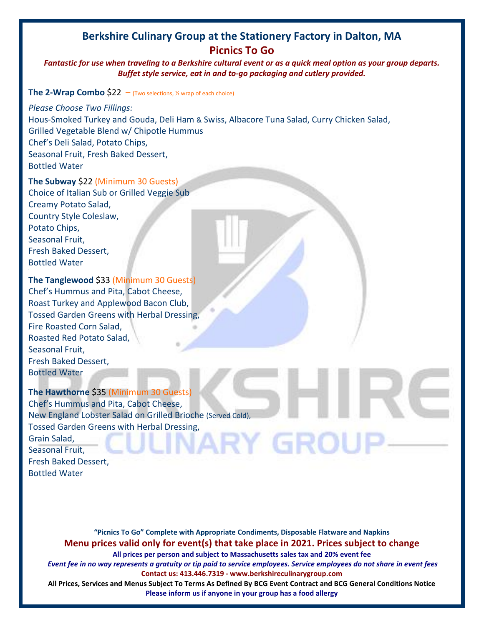# **Berkshire Culinary Group at the Stationery Factory in Dalton, MA Picnics To Go**

*Fantastic for use when traveling to a Berkshire cultural event or as a quick meal option as your group departs. Buffet style service, eat in and to-go packaging and cutlery provided.* 

#### **The 2-Wrap Combo**  $$22 - (Two selections, %)$  wrap of each choice)

*Please Choose Two Fillings:*  Hous-Smoked Turkey and Gouda, Deli Ham & Swiss, Albacore Tuna Salad, Curry Chicken Salad, Grilled Vegetable Blend w/ Chipotle Hummus Chef's Deli Salad, Potato Chips, Seasonal Fruit, Fresh Baked Dessert, Bottled Water

**The Subway** \$22 (Minimum 30 Guests) Choice of Italian Sub or Grilled Veggie Sub Creamy Potato Salad,

Country Style Coleslaw, Potato Chips, Seasonal Fruit, Fresh Baked Dessert, Bottled Water

**The Tanglewood** \$33 (Minimum 30 Guests)

Chef's Hummus and Pita, Cabot Cheese, Roast Turkey and Applewood Bacon Club, Tossed Garden Greens with Herbal Dressing, Fire Roasted Corn Salad, Roasted Red Potato Salad, Seasonal Fruit, Fresh Baked Dessert, Bottled Water

#### **The Hawthorne** \$35 (Minimum 30 Guests)

Chef's Hummus and Pita, Cabot Cheese, New England Lobster Salad on Grilled Brioche (Served Cold), Tossed Garden Greens with Herbal Dressing,<br>Grain Salad,<br>Seasonal Fruit. Grain Salad, Seasonal Fruit, Fresh Baked Dessert, Bottled Water

**"Picnics To Go" Complete with Appropriate Condiments, Disposable Flatware and Napkins Menu prices valid only for event(s) that take place in 2021. Prices subject to change All prices per person and subject to Massachusetts sales tax and 20% event fee** *Event fee in no way represents a gratuity or tip paid to service employees. Service employees do not share in event fees* **Contact us: 413.446.7319 - www.berkshireculinarygroup.com**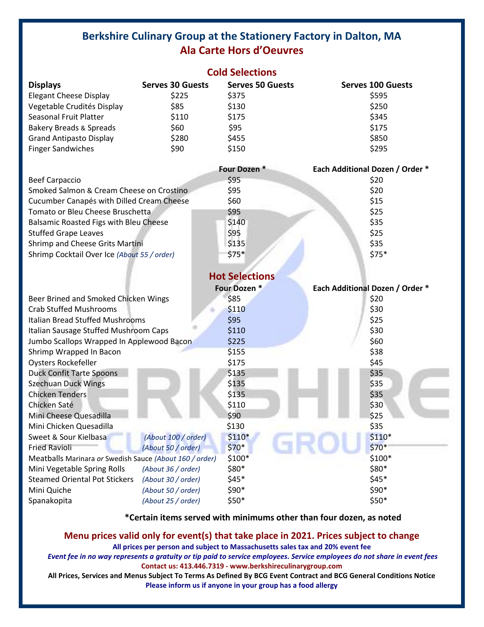# **Berkshire Culinary Group at the Stationery Factory in Dalton, MA Ala Carte Hors d'Oeuvres**

|                                                         |                         | <b>Cold Selections</b>  |                                        |
|---------------------------------------------------------|-------------------------|-------------------------|----------------------------------------|
| <b>Displays</b>                                         | <b>Serves 30 Guests</b> | <b>Serves 50 Guests</b> | <b>Serves 100 Guests</b>               |
| <b>Elegant Cheese Display</b>                           | \$225                   | \$375                   | \$595                                  |
| Vegetable Crudités Display                              | \$85                    | \$130                   | \$250                                  |
| Seasonal Fruit Platter                                  | \$110                   | \$175                   | \$345                                  |
| <b>Bakery Breads &amp; Spreads</b>                      | \$60                    | \$95                    | \$175                                  |
| <b>Grand Antipasto Display</b>                          | \$280                   | \$455                   | \$850                                  |
| <b>Finger Sandwiches</b>                                | \$90                    | \$150                   | \$295                                  |
|                                                         |                         | Four Dozen *            | Each Additional Dozen / Order *        |
| <b>Beef Carpaccio</b>                                   |                         | \$95                    | \$20                                   |
| Smoked Salmon & Cream Cheese on Crostino                |                         | \$95                    | \$20                                   |
| Cucumber Canapés with Dilled Cream Cheese               |                         | \$60                    | \$15                                   |
| Tomato or Bleu Cheese Bruschetta                        |                         | \$95                    | \$25                                   |
| Balsamic Roasted Figs with Bleu Cheese                  |                         | \$140                   | \$35                                   |
| <b>Stuffed Grape Leaves</b>                             |                         | \$95                    | \$25                                   |
| Shrimp and Cheese Grits Martini                         |                         | \$135                   | \$35                                   |
| Shrimp Cocktail Over Ice (About 55 / order)             |                         | $$75*$                  | $$75*$                                 |
|                                                         |                         | <b>Hot Selections</b>   |                                        |
|                                                         |                         | Four Dozen *            | <b>Each Additional Dozen / Order *</b> |
| Beer Brined and Smoked Chicken Wings                    |                         | \$85                    | \$20                                   |
| <b>Crab Stuffed Mushrooms</b>                           |                         | \$110                   | \$30                                   |
| <b>Italian Bread Stuffed Mushrooms</b>                  |                         | \$95                    | \$25                                   |
| Italian Sausage Stuffed Mushroom Caps                   |                         | \$110                   | \$30                                   |
| Jumbo Scallops Wrapped In Applewood Bacon               |                         | \$225                   | \$60                                   |
| Shrimp Wrapped In Bacon                                 |                         | \$155                   | \$38                                   |
| Oysters Rockefeller                                     |                         | \$175                   | \$45                                   |
| <b>Duck Confit Tarte Spoons</b>                         |                         | \$135                   | \$35                                   |
| <b>Szechuan Duck Wings</b>                              |                         | \$135                   | \$35                                   |
| <b>Chicken Tenders</b>                                  |                         | \$135                   | \$35                                   |
| Chicken Saté                                            |                         | \$110                   | \$30                                   |
| Mini Cheese Quesadilla                                  |                         | \$90                    | \$25                                   |
| Mini Chicken Quesadilla                                 |                         | \$130                   | \$35                                   |
| Sweet & Sour Kielbasa                                   | (About 100 / order)     | $$110*$                 | $$110*$                                |
| <b>Fried Ravioli</b>                                    | (About 50 / order)      | $$70*$                  | $$70*$                                 |
| Meatballs Marinara or Swedish Sauce (About 160 / order) |                         | $$100*$                 | $$100*$                                |
| Mini Vegetable Spring Rolls                             | (About 36 / order)      | \$80*                   | \$80*                                  |
| <b>Steamed Oriental Pot Stickers</b>                    | (About 30 / order)      | $$45*$                  | $$45*$                                 |
| Mini Quiche                                             | (About 50 / order)      | \$90*                   | \$90*                                  |
| Spanakopita                                             | (About 25 / order)      | \$50*                   | \$50*                                  |

**\*Certain items served with minimums other than four dozen, as noted**

**Menu prices valid only for event(s) that take place in 2021. Prices subject to change All prices per person and subject to Massachusetts sales tax and 20% event fee**

*Event fee in no way represents a gratuity or tip paid to service employees. Service employees do not share in event fees* **Contact us: 413.446.7319 - www.berkshireculinarygroup.com**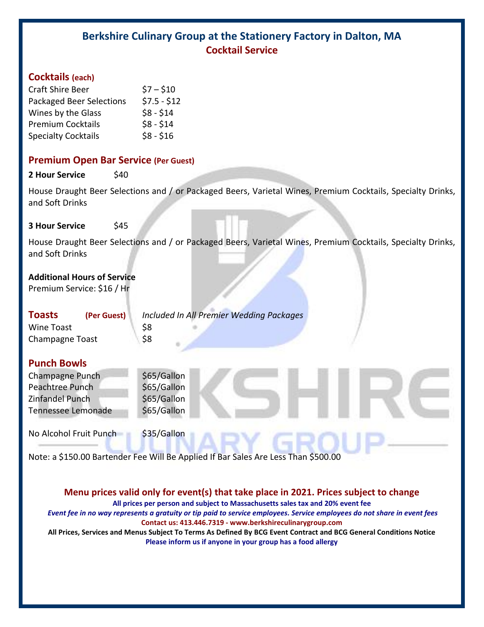# **Berkshire Culinary Group at the Stationery Factory in Dalton, MA Cocktail Service**

#### **Cocktails (each)**

| <b>Craft Shire Beer</b>         | $57 - 510$   |
|---------------------------------|--------------|
| <b>Packaged Beer Selections</b> | $$7.5 - $12$ |
| Wines by the Glass              | $$8 - $14$   |
| <b>Premium Cocktails</b>        | $$8 - $14$   |
| <b>Specialty Cocktails</b>      | $$8 - $16$   |

#### **Premium Open Bar Service (Per Guest)**

**2 Hour Service** \$40

House Draught Beer Selections and / or Packaged Beers, Varietal Wines, Premium Cocktails, Specialty Drinks, and Soft Drinks

#### **3 Hour Service** \$45

House Draught Beer Selections and / or Packaged Beers, Varietal Wines, Premium Cocktails, Specialty Drinks, and Soft Drinks

# **Additional Hours of Service**

Premium Service: \$16 / Hr

| <b>Toasts</b>          | (Per Guest) | Include |
|------------------------|-------------|---------|
| <b>Wine Toast</b>      |             | \$8     |
| <b>Champagne Toast</b> |             | \$8     |

**Toasts (Per Guest)** *Included In All Premier Wedding Packages*

# **Punch Bowls**

| Champagne Punch    | \$65/Gallon |
|--------------------|-------------|
| Peachtree Punch    | \$65/Gallon |
| Zinfandel Punch    | \$65/Gallon |
| Tennessee Lemonade | \$65/Gallon |
|                    |             |

No Alcohol Fruit Punch \$35/Gallon

Note: a \$150.00 Bartender Fee Will Be Applied If Bar Sales Are Less Than \$500.00

### **Menu prices valid only for event(s) that take place in 2021. Prices subject to change**

**All prices per person and subject to Massachusetts sales tax and 20% event fee**

*Event fee in no way represents a gratuity or tip paid to service employees. Service employees do not share in event fees* **Contact us: 413.446.7319 - www.berkshireculinarygroup.com**